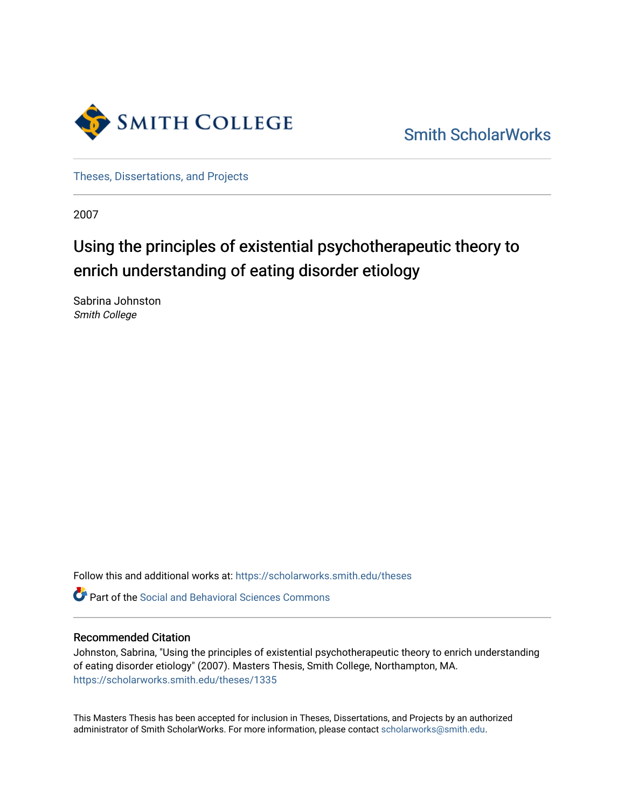

[Smith ScholarWorks](https://scholarworks.smith.edu/) 

[Theses, Dissertations, and Projects](https://scholarworks.smith.edu/theses) 

2007

## Using the principles of existential psychotherapeutic theory to enrich understanding of eating disorder etiology

Sabrina Johnston Smith College

Follow this and additional works at: [https://scholarworks.smith.edu/theses](https://scholarworks.smith.edu/theses?utm_source=scholarworks.smith.edu%2Ftheses%2F1335&utm_medium=PDF&utm_campaign=PDFCoverPages) 

**C** Part of the Social and Behavioral Sciences Commons

#### Recommended Citation

Johnston, Sabrina, "Using the principles of existential psychotherapeutic theory to enrich understanding of eating disorder etiology" (2007). Masters Thesis, Smith College, Northampton, MA. [https://scholarworks.smith.edu/theses/1335](https://scholarworks.smith.edu/theses/1335?utm_source=scholarworks.smith.edu%2Ftheses%2F1335&utm_medium=PDF&utm_campaign=PDFCoverPages)

This Masters Thesis has been accepted for inclusion in Theses, Dissertations, and Projects by an authorized administrator of Smith ScholarWorks. For more information, please contact [scholarworks@smith.edu](mailto:scholarworks@smith.edu).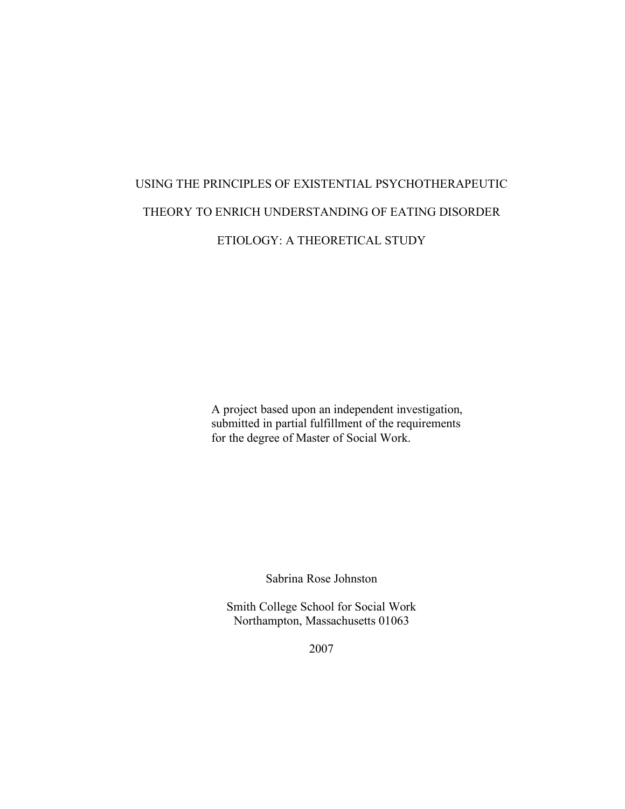# USING THE PRINCIPLES OF EXISTENTIAL PSYCHOTHERAPEUTIC THEORY TO ENRICH UNDERSTANDING OF EATING DISORDER ETIOLOGY: A THEORETICAL STUDY

A project based upon an independent investigation, submitted in partial fulfillment of the requirements for the degree of Master of Social Work.

Sabrina Rose Johnston

Smith College School for Social Work Northampton, Massachusetts 01063

2007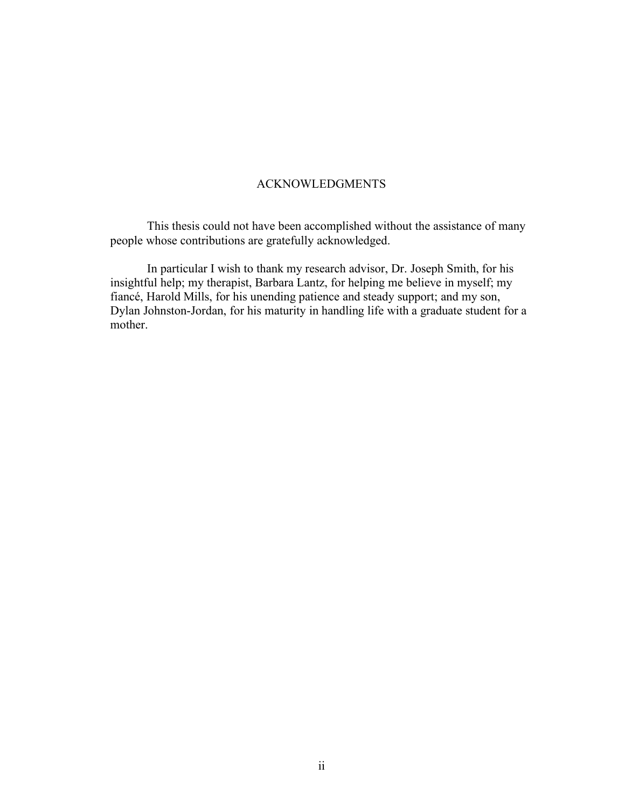### ACKNOWLEDGMENTS

This thesis could not have been accomplished without the assistance of many people whose contributions are gratefully acknowledged.

In particular I wish to thank my research advisor, Dr. Joseph Smith, for his insightful help; my therapist, Barbara Lantz, for helping me believe in myself; my fiancé, Harold Mills, for his unending patience and steady support; and my son, Dylan Johnston-Jordan, for his maturity in handling life with a graduate student for a mother.